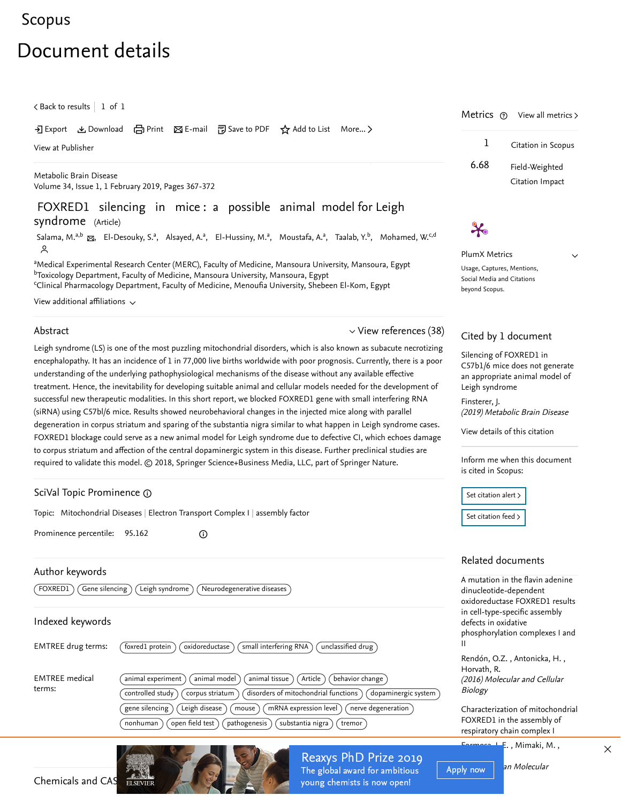### [Scopus](https://www-scopus-com.ezproxy.um.edu.my/home.uri?zone=header&origin=searchbasic)

# Document details

 $\zeta$  [Back to results](https://www-scopus-com.ezproxy.um.edu.my/results/results.uri?sort=plf-f&src=s&st1=FOXRED1+silencing+in+mice%3a+a+possible+animal&st2=&sid=cf9febc81a31c218434f8007046d3bb0&sot=b&sdt=b&sl=51&s=TITLE%28FOXRED1+silencing+in+mice%3a+a+possible+animal%29&offset=1&origin=recordpage)  $\vert\,$  1 of 1  $\,$ 

#### → Export & Download d Print ⊠ E-mail 可 Save to PDF ☆ Add to List More... >

[View at Publisher](https://www-scopus-com.ezproxy.um.edu.my/redirect/linking.uri?targetURL=https%3a%2f%2fdoi.org%2f10.1007%2fs11011-018-0334-z&locationID=1&categoryID=4&eid=2-s2.0-85055974818&issn=08857490&linkType=ViewAtPublisher&year=2019&origin=recordpage&dig=744bbf24f9d0f4d43b19d403fad5ee88&recordRank=)

[Metabolic Brain Disease](https://www-scopus-com.ezproxy.um.edu.my/sourceid/19015?origin=recordpage) Volume 34, Issue 1, 1 February 2019, Pages 367-372

FOXRED1 silencing in mice : a possible animal model for Leigh syndrome (Article)

[Salama, M.](https://www-scopus-com.ezproxy.um.edu.my/authid/detail.uri?authorId=7202654469&eid=2-s2.0-85055974818)<sup>a,b</sup> &, [El-Desouky, S.](https://www-scopus-com.ezproxy.um.edu.my/authid/detail.uri?authorId=55036448600&eid=2-s2.0-85055974818)<sup>a</sup>, [Alsayed, A.](https://www-scopus-com.ezproxy.um.edu.my/authid/detail.uri?authorId=57188585788&eid=2-s2.0-85055974818)<sup>a</sup>, [El-Hussiny, M.](https://www-scopus-com.ezproxy.um.edu.my/authid/detail.uri?authorId=57204471350&eid=2-s2.0-85055974818)<sup>a</sup>, [Moustafa, A.](https://www-scopus-com.ezproxy.um.edu.my/authid/detail.uri?authorId=57204532736&eid=2-s2.0-85055974818)<sup>a</sup>, [Taalab, Y.](https://www-scopus-com.ezproxy.um.edu.my/authid/detail.uri?authorId=57200221875&eid=2-s2.0-85055974818)<sup>b</sup>, [Mohamed, W.](https://www-scopus-com.ezproxy.um.edu.my/authid/detail.uri?authorId=57194377779&eid=2-s2.0-85055974818)<sup>c,d</sup>  $\sim$ 

aMedical Experimental Research Center (MERC), Faculty of Medicine, Mansoura University, Mansoura, Egypt <sup>b</sup>Toxicology Department, Faculty of Medicine, Mansoura University, Mansoura, Egypt Clinical Pharmacology Department, Faculty of Medicine, Menoufia University, Shebeen El-Kom, Egypt

View additional affiliations  $\sim$ 

#### Abstract

#### $\vee$  [View references \(38\)](#page-1-0)

Leigh syndrome (LS) is one of the most puzzling mitochondrial disorders, which is also known as subacute necrotizing encephalopathy. It has an incidence of 1 in 77,000 live births worldwide with poor prognosis. Currently, there is a poor understanding of the underlying pathophysiological mechanisms of the disease without any available effective treatment. Hence, the inevitability for developing suitable animal and cellular models needed for the development of successful new therapeutic modalities. In this short report, we blocked FOXRED1 gene with small interfering RNA (siRNA) using C57bl/6 mice. Results showed neurobehavioral changes in the injected mice along with parallel degeneration in corpus striatum and sparing of the substantia nigra similar to what happen in Leigh syndrome cases. FOXRED1 blockage could serve as a new animal model for Leigh syndrome due to defective CI, which echoes damage to corpus striatum and affection of the central dopaminergic system in this disease. Further preclinical studies are required to validate this model. © 2018, Springer Science+Business Media, LLC, part of Springer Nature.

#### SciVal Topic Prominence

Topic: Mitochondrial Diseases | Electron Transport Complex I | assembly factor

 $\odot$ 

Prominence percentile: 95.162

#### Author keywords

 $(FOXRED1)$   $(Gene$  silencing  $)$   $(Leigh$  syndrome  $)$   $(Neurodegenerateive$  diseases

#### Indexed keywords

| <b>EMTREE drug terms:</b>       | oxidoreductase<br>small interfering RNA<br>unclassified drug)<br>foxred1 protein                                                                                                                                                                                                                                                                                                                         |
|---------------------------------|----------------------------------------------------------------------------------------------------------------------------------------------------------------------------------------------------------------------------------------------------------------------------------------------------------------------------------------------------------------------------------------------------------|
| <b>EMTREE</b> medical<br>terms: | animal model<br>animal tissue<br>behavior change $\rangle$<br>animal experiment<br>Article<br>$\check{ }$ disorders of mitochondrial functions $\check{ }$<br>dopaminergic system<br>controlled study<br>corpus striatum<br>Leigh disease<br>nerve degeneration<br>gene silencing<br>mRNA expression level<br>mouse<br>$\log$ open field test)<br>substantia nigra<br>pathogenesis<br>nonhuman<br>tremor |

## Metrics  $\circledcirc$  View all metrics  $\gt$ 1 Citation in Scopus 6.68 Field-Weighted Citation Impact

PlumX Metrics Usage, Captures, Mentions, Social Media and Citations beyond Scopus.

 $\mathcal{X}_0$ 

 $\vee$ 

#### Cited by 1 document

Silencing of FOXRED1 in [C57b1/6 mice does not generate](https://www-scopus-com.ezproxy.um.edu.my/record/display.uri?origin=citedby&eid=2-s2.0-85058140507&citeCnt=1&noHighlight=false&sort=plf-f&src=s&st1=FOXRED1+silencing+in+mice%3a+a+possible+animal&st2=&sid=cf9febc81a31c218434f8007046d3bb0&sot=b&sdt=b&sl=51&s=TITLE%28FOXRED1+silencing+in+mice%3a+a+possible+animal%29&relpos=0) an appropriate animal model of Leigh syndrome

(2019) Metabolic Brain Disease [Finsterer, J.](https://www-scopus-com.ezproxy.um.edu.my/authid/detail.uri?origin=citedby&authorId=55181651300&zone=)

[View details of this citation](https://www-scopus-com.ezproxy.um.edu.my/search/submit/citedby.uri?eid=2-s2.0-85055974818&src=s&origin=recordpage)

Inform me when this document is cited in Scopus:

Set citation alert > [Set citation feed](https://www-scopus-com.ezproxy.um.edu.my/results/rss/handler.uri?citeEid=2-s2.0-85055974818) >

#### Related documents

A mutation in the flavin adenine dinucleotide-dependent oxidoreductase FOXRED1 results in cell-type-specific assembly defects in oxidative [phosphorylation complexes I and](https://www-scopus-com.ezproxy.um.edu.my/record/display.uri?origin=recordpage&zone=relatedDocuments&eid=2-s2.0-84982782572&citeCnt=1&noHighlight=false&sort=plf-f&src=s&st1=FOXRED1+silencing+in+mice%3a+a+possible+animal&st2=&sid=cf9febc81a31c218434f8007046d3bb0&sot=b&sdt=b&sl=51&s=TITLE%28FOXRED1+silencing+in+mice%3a+a+possible+animal%29&relpos=0) II

,, [Rendón, O.Z.](https://www-scopus-com.ezproxy.um.edu.my/authid/detail.uri?origin=recordpage&authorId=55337857800&zone=relatedDocuments) Antonicka, H. (2016) Molecular and Cellular Biology [Horvath, R.](https://www-scopus-com.ezproxy.um.edu.my/authid/detail.uri?origin=recordpage&authorId=55937735100&zone=relatedDocuments)

[Characterization of mitochondrial](https://www-scopus-com.ezproxy.um.edu.my/record/display.uri?origin=recordpage&zone=relatedDocuments&eid=2-s2.0-84929773669&citeCnt=1&noHighlight=false&sort=plf-f&src=s&st1=FOXRED1+silencing+in+mice%3a+a+possible+animal&st2=&sid=cf9febc81a31c218434f8007046d3bb0&sot=b&sdt=b&sl=51&s=TITLE%28FOXRED1+silencing+in+mice%3a+a+possible+animal%29&relpos=1) FOXRED1 in the assembly of respiratory chain complex I

 $\frac{Farmosa}{\mathcal{K}}$ ., Mimaki, M.,  $\chi$ 

Genetics

Apply now an Molecular



Reaxys PhD Prize 2019 The global award for ambitious young chemists is now open!